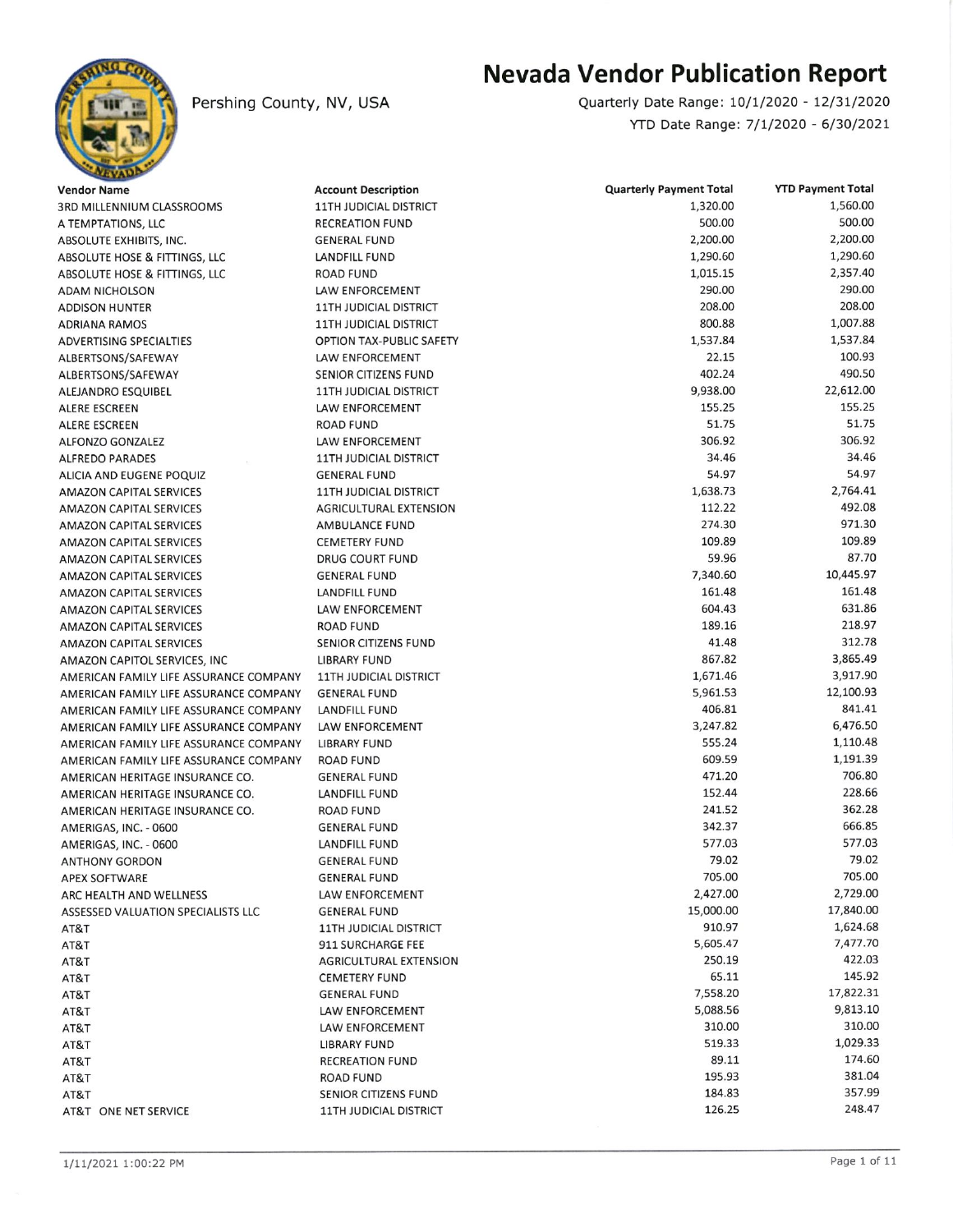

## **Nevada Vendor Publication Report**

Quarterly Date Range: 10/1/2020 - 12/31/2020 YTD Date Range: 7/1/2020 - 6/30/2021

| <b>Vendor Name</b>                     | <b>Account Description</b>    | <b>Quarterly Payment Total</b> | <b>YTD Payment Total</b> |
|----------------------------------------|-------------------------------|--------------------------------|--------------------------|
| 3RD MILLENNIUM CLASSROOMS              | <b>11TH JUDICIAL DISTRICT</b> | 1,320.00                       | 1,560.00                 |
| A TEMPTATIONS, LLC                     | RECREATION FUND               | 500.00                         | 500.00                   |
| ABSOLUTE EXHIBITS, INC.                | GENERAL FUND                  | 2,200.00                       | 2,200.00                 |
| ABSOLUTE HOSE & FITTINGS, LLC          | <b>LANDFILL FUND</b>          | 1,290.60                       | 1,290.60                 |
| ABSOLUTE HOSE & FITTINGS, LLC          | <b>ROAD FUND</b>              | 1,015.15                       | 2,357.40                 |
| <b>ADAM NICHOLSON</b>                  | <b>LAW ENFORCEMENT</b>        | 290.00                         | 290.00                   |
| <b>ADDISON HUNTER</b>                  | <b>11TH JUDICIAL DISTRICT</b> | 208.00                         | 208.00                   |
| ADRIANA RAMOS                          | <b>11TH JUDICIAL DISTRICT</b> | 800.88                         | 1,007.88                 |
| <b>ADVERTISING SPECIALTIES</b>         | OPTION TAX-PUBLIC SAFETY      | 1,537.84                       | 1,537.84                 |
| ALBERTSONS/SAFEWAY                     | LAW ENFORCEMENT               | 22.15                          | 100.93                   |
| ALBERTSONS/SAFEWAY                     | SENIOR CITIZENS FUND          | 402.24                         | 490.50                   |
| ALEJANDRO ESQUIBEL                     | <b>11TH JUDICIAL DISTRICT</b> | 9,938.00                       | 22,612.00                |
| <b>ALERE ESCREEN</b>                   | LAW ENFORCEMENT               | 155.25                         | 155.25                   |
| ALERE ESCREEN                          | <b>ROAD FUND</b>              | 51.75                          | 51.75                    |
| <b>ALFONZO GONZALEZ</b>                | LAW ENFORCEMENT               | 306.92                         | 306.92                   |
| <b>ALFREDO PARADES</b>                 | <b>11TH JUDICIAL DISTRICT</b> | 34.46                          | 34.46                    |
| ALICIA AND EUGENE POQUIZ               | <b>GENERAL FUND</b>           | 54.97                          | 54.97                    |
| <b>AMAZON CAPITAL SERVICES</b>         | <b>11TH JUDICIAL DISTRICT</b> | 1,638.73                       | 2,764.41                 |
| <b>AMAZON CAPITAL SERVICES</b>         | <b>AGRICULTURAL EXTENSION</b> | 112.22                         | 492.08                   |
| <b>AMAZON CAPITAL SERVICES</b>         | <b>AMBULANCE FUND</b>         | 274.30                         | 971.30                   |
| <b>AMAZON CAPITAL SERVICES</b>         | <b>CEMETERY FUND</b>          | 109.89                         | 109.89                   |
| <b>AMAZON CAPITAL SERVICES</b>         | <b>DRUG COURT FUND</b>        | 59.96                          | 87.70                    |
| <b>AMAZON CAPITAL SERVICES</b>         | <b>GENERAL FUND</b>           | 7,340.60                       | 10,445.97                |
| <b>AMAZON CAPITAL SERVICES</b>         | LANDFILL FUND                 | 161.48                         | 161.48                   |
| <b>AMAZON CAPITAL SERVICES</b>         | <b>LAW ENFORCEMENT</b>        | 604.43                         | 631.86                   |
| <b>AMAZON CAPITAL SERVICES</b>         | <b>ROAD FUND</b>              | 189.16                         | 218.97                   |
| <b>AMAZON CAPITAL SERVICES</b>         | <b>SENIOR CITIZENS FUND</b>   | 41.48                          | 312.78                   |
| AMAZON CAPITOL SERVICES, INC           | <b>LIBRARY FUND</b>           | 867.82                         | 3,865.49                 |
| AMERICAN FAMILY LIFE ASSURANCE COMPANY | <b>11TH JUDICIAL DISTRICT</b> | 1,671.46                       | 3,917.90                 |
| AMERICAN FAMILY LIFE ASSURANCE COMPANY | <b>GENERAL FUND</b>           | 5,961.53                       | 12,100.93                |
| AMERICAN FAMILY LIFE ASSURANCE COMPANY | LANDFILL FUND                 | 406.81                         | 841.41                   |
| AMERICAN FAMILY LIFE ASSURANCE COMPANY | LAW ENFORCEMENT               | 3,247.82                       | 6,476.50                 |
| AMERICAN FAMILY LIFE ASSURANCE COMPANY | <b>LIBRARY FUND</b>           | 555.24                         | 1,110.48                 |
| AMERICAN FAMILY LIFE ASSURANCE COMPANY | <b>ROAD FUND</b>              | 609.59                         | 1,191.39                 |
| AMERICAN HERITAGE INSURANCE CO.        | <b>GENERAL FUND</b>           | 471.20                         | 706.80                   |
| AMERICAN HERITAGE INSURANCE CO.        | <b>LANDFILL FUND</b>          | 152.44                         | 228.66                   |
| AMERICAN HERITAGE INSURANCE CO.        | ROAD FUND                     | 241.52                         | 362.28                   |
| AMERIGAS, INC. - 0600                  | <b>GENERAL FUND</b>           | 342.37                         | 666.85                   |
| AMERIGAS, INC. - 0600                  | LANDFILL FUND                 | 577.03                         | 577.03                   |
| <b>ANTHONY GORDON</b>                  | <b>GENERAL FUND</b>           | 79.02                          | 79.02                    |
| <b>APEX SOFTWARE</b>                   | <b>GENERAL FUND</b>           | 705.00                         | 705.00                   |
| ARC HEALTH AND WELLNESS                | LAW ENFORCEMENT               | 2,427.00                       | 2,729.00                 |
| ASSESSED VALUATION SPECIALISTS LLC     | <b>GENERAL FUND</b>           | 15,000.00                      | 17,840.00                |
| AT&T                                   | <b>11TH JUDICIAL DISTRICT</b> | 910.97                         | 1,624.68                 |
| AT&T                                   | 911 SURCHARGE FEE             | 5,605.47                       | 7,477.70                 |
| AT&T                                   | <b>AGRICULTURAL EXTENSION</b> | 250.19                         | 422.03                   |
| AT&T                                   | <b>CEMETERY FUND</b>          | 65.11                          | 145.92                   |
| AT&T                                   | <b>GENERAL FUND</b>           | 7,558.20                       | 17,822.31                |
| AT&T                                   | <b>LAW ENFORCEMENT</b>        | 5,088.56                       | 9,813.10                 |
| AT&T                                   | LAW ENFORCEMENT               | 310.00                         | 310.00                   |
| AT&T                                   | <b>LIBRARY FUND</b>           | 519.33                         | 1,029.33                 |
| AT&T                                   | <b>RECREATION FUND</b>        | 89.11                          | 174.60                   |
| AT&T                                   | <b>ROAD FUND</b>              | 195.93                         | 381.04                   |
| AT&T                                   | SENIOR CITIZENS FUND          | 184.83                         | 357.99                   |
| AT&T ONE NET SERVICE                   | <b>11TH JUDICIAL DISTRICT</b> | 126.25                         | 248.47                   |